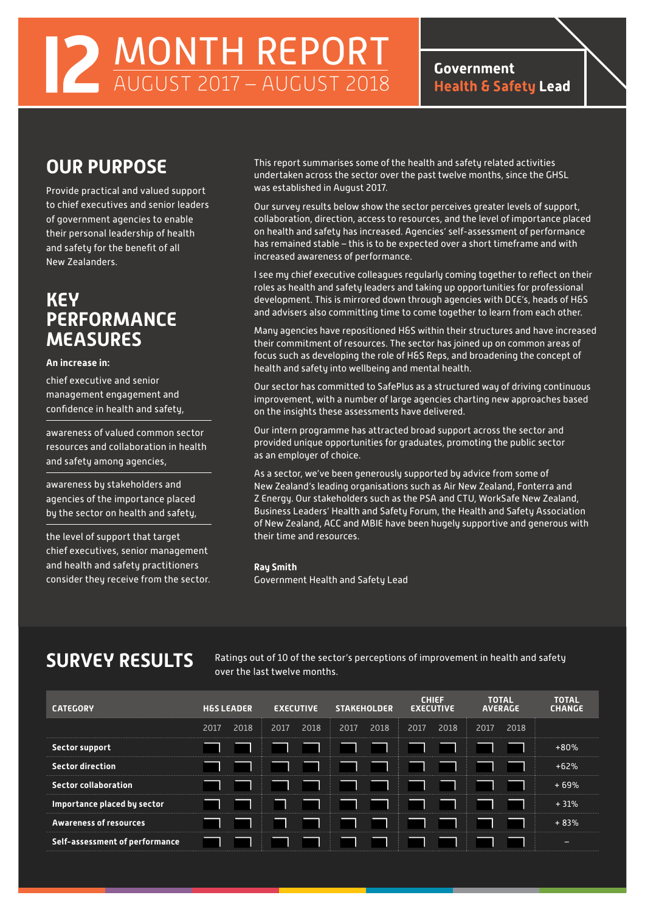MONTH REPORT AUGUST 2017 – AUGUST 2018

**Government Health & Safety Lead** 

# **OUR PURPOSE**

Provide practical and valued support to chief executives and senior leaders of government agencies to enable their personal leadership of health and safety for the benefit of all New Zealanders.

## **KEY PERFORMANCE MEASURES**

### **An increase in:**

chief executive and senior management engagement and confidence in health and safety,

awareness of valued common sector resources and collaboration in health and safety among agencies,

awareness by stakeholders and agencies of the importance placed by the sector on health and safety,

the level of support that target chief executives, senior management and health and safety practitioners consider they receive from the sector. This report summarises some of the health and safety related activities undertaken across the sector over the past twelve months, since the GHSL was established in August 2017.

Our survey results below show the sector perceives greater levels of support, collaboration, direction, access to resources, and the level of importance placed on health and safety has increased. Agencies' self-assessment of performance has remained stable – this is to be expected over a short timeframe and with increased awareness of performance.

I see my chief executive colleagues regularly coming together to reflect on their roles as health and safety leaders and taking up opportunities for professional development. This is mirrored down through agencies with DCE's, heads of H&S and advisers also committing time to come together to learn from each other.

Many agencies have repositioned H&S within their structures and have increased their commitment of resources. The sector has joined up on common areas of focus such as developing the role of H&S Reps, and broadening the concept of health and safety into wellbeing and mental health.

Our sector has committed to SafePlus as a structured way of driving continuous improvement, with a number of large agencies charting new approaches based on the insights these assessments have delivered.

Our intern programme has attracted broad support across the sector and provided unique opportunities for graduates, promoting the public sector as an employer of choice.

As a sector, we've been generously supported by advice from some of New Zealand's leading organisations such as Air New Zealand, Fonterra and Z Energy. Our stakeholders such as the PSA and CTU, WorkSafe New Zealand, Business Leaders' Health and Safety Forum, the Health and Safety Association of New Zealand, ACC and MBIE have been hugely supportive and generous with their time and resources.

### **Ray Smith**

Government Health and Safety Lead

SURVEY RESULTS Ratings out of 10 of the sector's perceptions of improvement in health and safety over the last twelve months.

| <b>CATEGORY</b>                |      | <b>H&amp;S LEADER</b> |      | <b>EXECUTIVE</b> |      | <b>STAKEHOLDER</b> |      | <b>CHIEF</b><br><b>EXECUTIVE</b> |      | <b>TOTAL</b><br><b>AVERAGE</b> | <b>TOTAL</b><br><b>CHANGE</b> |
|--------------------------------|------|-----------------------|------|------------------|------|--------------------|------|----------------------------------|------|--------------------------------|-------------------------------|
|                                | 2017 | 2018                  | 2017 | 2018             | 2017 | 2018               | 2017 | 2018                             | 2017 | 2018                           |                               |
| Sector support                 |      |                       |      |                  |      |                    |      |                                  |      |                                | $+80%$                        |
| <b>Sector direction</b>        |      |                       |      |                  |      |                    |      |                                  |      |                                | $+62%$                        |
| <b>Sector collaboration</b>    |      |                       |      |                  |      |                    |      |                                  |      |                                | $+69%$                        |
| Importance placed by sector    |      |                       |      |                  |      |                    |      |                                  |      |                                | $+31%$                        |
| <b>Awareness of resources</b>  |      |                       |      |                  |      |                    |      |                                  |      |                                | $+83%$                        |
| Self-assessment of performance |      |                       |      |                  |      |                    |      |                                  |      |                                | -                             |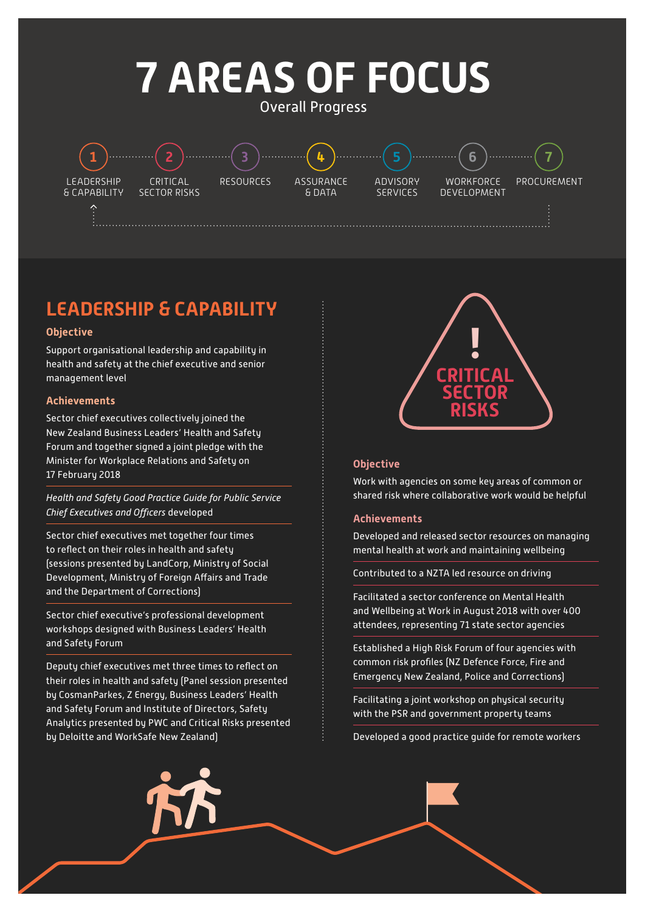# **7 AREAS OF FOCUS**

Overall Progress

LEADERSHIP & CAPABILITY **1 2 3 4 5 6 7**

CRITICAL SECTOR RISKS

RESOURCES ASSURANCE & DATA

ADVISORY SERVICES

**WORKFORCE** DEVELOPMENT

PROCUREMENT

# **LEADERSHIP & CAPABILITY**

### **Objective**

Support organisational leadership and capability in health and safety at the chief executive and senior management level

### **Achievements**

Sector chief executives collectively joined the New Zealand Business Leaders' Health and Safety Forum and together signed a joint pledge with the Minister for Workplace Relations and Safety on 17 February 2018

*Health and Safety Good Practice Guide for Public Service Chief Executives and Officers* developed

Sector chief executives met together four times to reflect on their roles in health and safety (sessions presented by LandCorp, Ministry of Social Development, Ministry of Foreign Affairs and Trade and the Department of Corrections)

Sector chief executive's professional development workshops designed with Business Leaders' Health and Safety Forum

Deputy chief executives met three times to reflect on their roles in health and safety (Panel session presented by CosmanParkes, Z Energy, Business Leaders' Health and Safety Forum and Institute of Directors, Safety Analytics presented by PWC and Critical Risks presented by Deloitte and WorkSafe New Zealand)



### **Objective**

Work with agencies on some key areas of common or shared risk where collaborative work would be helpful

### **Achievements**

Developed and released sector resources on managing mental health at work and maintaining wellbeing

Contributed to a NZTA led resource on driving

Facilitated a sector conference on Mental Health and Wellbeing at Work in August 2018 with over 400 attendees, representing 71 state sector agencies

Established a High Risk Forum of four agencies with common risk profiles (NZ Defence Force, Fire and Emergency New Zealand, Police and Corrections)

Facilitating a joint workshop on physical security with the PSR and government property teams

Developed a good practice guide for remote workers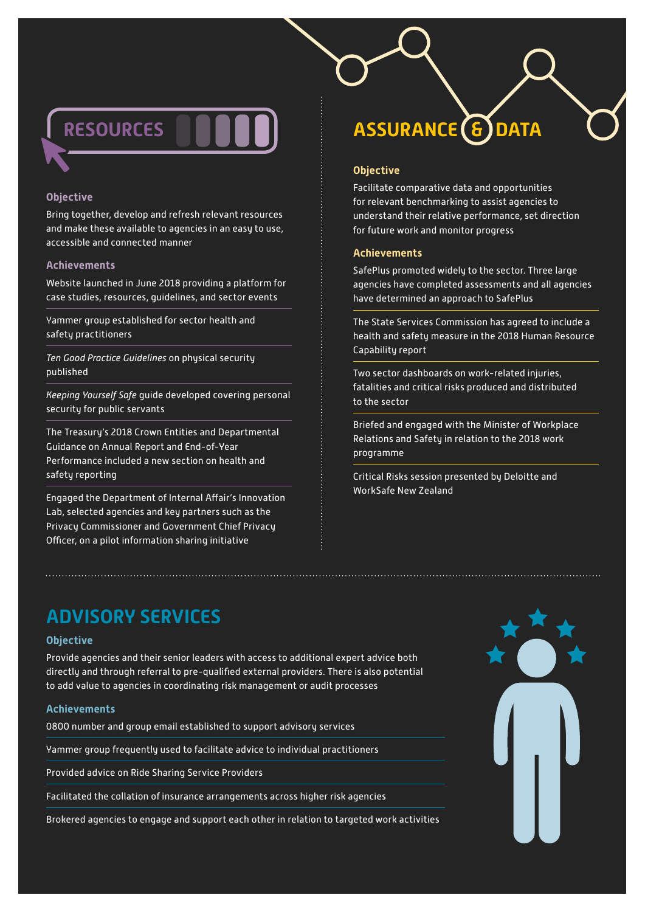

### **Objective**

Bring together, develop and refresh relevant resources and make these available to agencies in an easy to use, accessible and connected manner

### **Achievements**

Website launched in June 2018 providing a platform for case studies, resources, guidelines, and sector events

Yammer group established for sector health and safety practitioners

*Ten Good Practice Guidelines* on physical security published

*Keeping Yourself Safe* guide developed covering personal security for public servants

The Treasury's 2018 Crown Entities and Departmental Guidance on Annual Report and End-of-Year Performance included a new section on health and safety reporting

Engaged the Department of Internal Affair's Innovation Lab, selected agencies and key partners such as the Privacy Commissioner and Government Chief Privacy Officer, on a pilot information sharing initiative

# **ASSURANCE & DATA**

### **Objective**

Facilitate comparative data and opportunities for relevant benchmarking to assist agencies to understand their relative performance, set direction for future work and monitor progress

### **Achievements**

SafePlus promoted widely to the sector. Three large agencies have completed assessments and all agencies have determined an approach to SafePlus

The State Services Commission has agreed to include a health and safety measure in the 2018 Human Resource Capability report

Two sector dashboards on work-related injuries, fatalities and critical risks produced and distributed to the sector

Briefed and engaged with the Minister of Workplace Relations and Safety in relation to the 2018 work programme

Critical Risks session presented by Deloitte and WorkSafe New Zealand

### **ADVISORY SERVICES**

### **Objective**

Provide agencies and their senior leaders with access to additional expert advice both directly and through referral to pre-qualified external providers. There is also potential to add value to agencies in coordinating risk management or audit processes

### **Achievements**

0800 number and group email established to support advisory services

Yammer group frequently used to facilitate advice to individual practitioners

Provided advice on Ride Sharing Service Providers

Facilitated the collation of insurance arrangements across higher risk agencies

Brokered agencies to engage and support each other in relation to targeted work activities